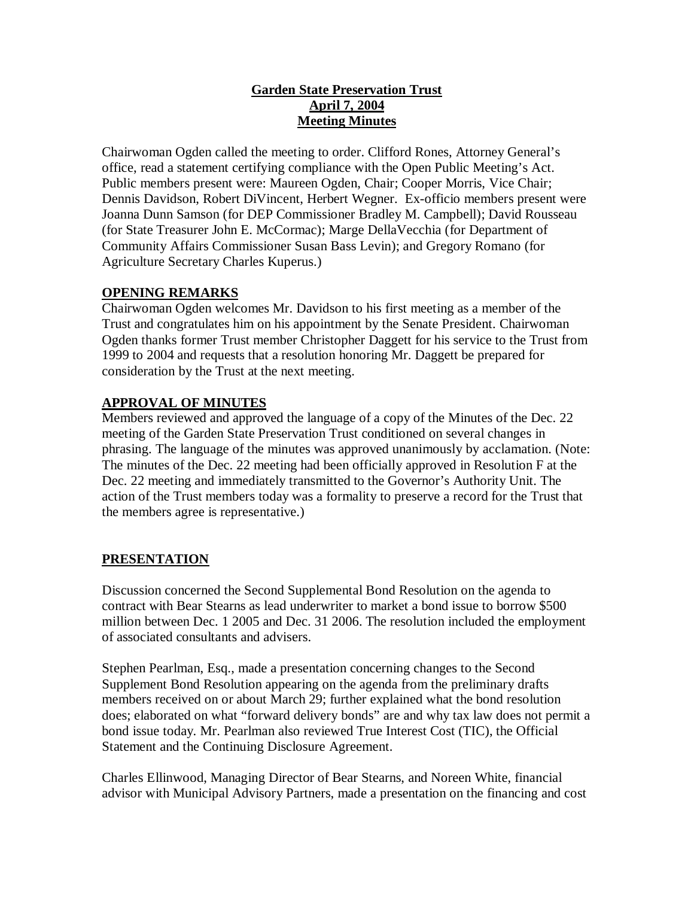### **Garden State Preservation Trust April 7, 2004 Meeting Minutes**

Chairwoman Ogden called the meeting to order. Clifford Rones, Attorney General's office, read a statement certifying compliance with the Open Public Meeting's Act. Public members present were: Maureen Ogden, Chair; Cooper Morris, Vice Chair; Dennis Davidson, Robert DiVincent, Herbert Wegner. Ex-officio members present were Joanna Dunn Samson (for DEP Commissioner Bradley M. Campbell); David Rousseau (for State Treasurer John E. McCormac); Marge DellaVecchia (for Department of Community Affairs Commissioner Susan Bass Levin); and Gregory Romano (for Agriculture Secretary Charles Kuperus.)

# **OPENING REMARKS**

Chairwoman Ogden welcomes Mr. Davidson to his first meeting as a member of the Trust and congratulates him on his appointment by the Senate President. Chairwoman Ogden thanks former Trust member Christopher Daggett for his service to the Trust from 1999 to 2004 and requests that a resolution honoring Mr. Daggett be prepared for consideration by the Trust at the next meeting.

# **APPROVAL OF MINUTES**

Members reviewed and approved the language of a copy of the Minutes of the Dec. 22 meeting of the Garden State Preservation Trust conditioned on several changes in phrasing. The language of the minutes was approved unanimously by acclamation. (Note: The minutes of the Dec. 22 meeting had been officially approved in Resolution F at the Dec. 22 meeting and immediately transmitted to the Governor's Authority Unit. The action of the Trust members today was a formality to preserve a record for the Trust that the members agree is representative.)

# **PRESENTATION**

Discussion concerned the Second Supplemental Bond Resolution on the agenda to contract with Bear Stearns as lead underwriter to market a bond issue to borrow \$500 million between Dec. 1 2005 and Dec. 31 2006. The resolution included the employment of associated consultants and advisers.

Stephen Pearlman, Esq., made a presentation concerning changes to the Second Supplement Bond Resolution appearing on the agenda from the preliminary drafts members received on or about March 29; further explained what the bond resolution does; elaborated on what "forward delivery bonds" are and why tax law does not permit a bond issue today. Mr. Pearlman also reviewed True Interest Cost (TIC), the Official Statement and the Continuing Disclosure Agreement.

Charles Ellinwood, Managing Director of Bear Stearns, and Noreen White, financial advisor with Municipal Advisory Partners, made a presentation on the financing and cost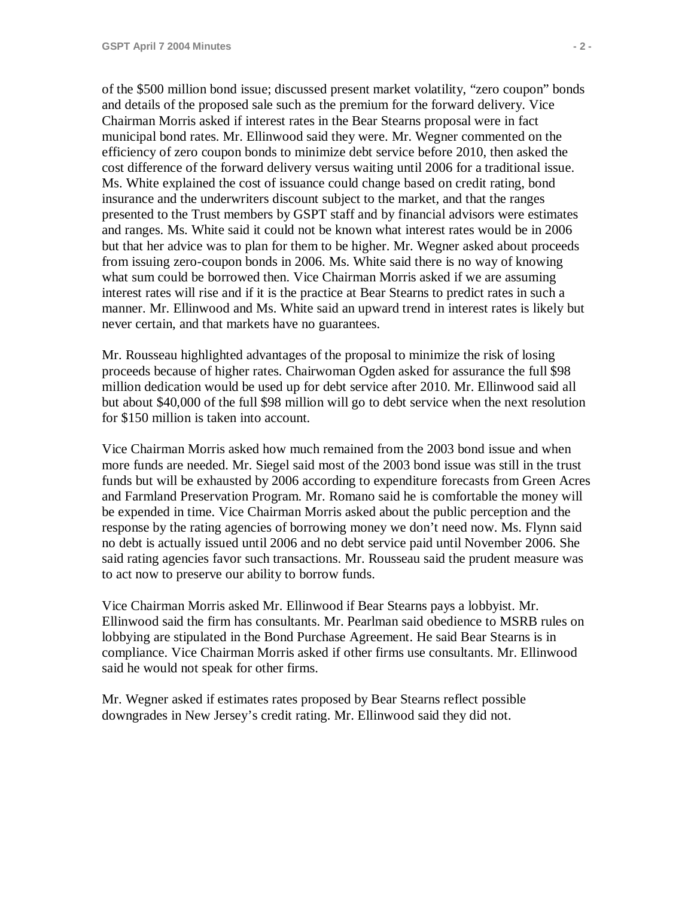of the \$500 million bond issue; discussed present market volatility, "zero coupon" bonds and details of the proposed sale such as the premium for the forward delivery. Vice Chairman Morris asked if interest rates in the Bear Stearns proposal were in fact municipal bond rates. Mr. Ellinwood said they were. Mr. Wegner commented on the efficiency of zero coupon bonds to minimize debt service before 2010, then asked the cost difference of the forward delivery versus waiting until 2006 for a traditional issue. Ms. White explained the cost of issuance could change based on credit rating, bond insurance and the underwriters discount subject to the market, and that the ranges presented to the Trust members by GSPT staff and by financial advisors were estimates and ranges. Ms. White said it could not be known what interest rates would be in 2006 but that her advice was to plan for them to be higher. Mr. Wegner asked about proceeds from issuing zero-coupon bonds in 2006. Ms. White said there is no way of knowing what sum could be borrowed then. Vice Chairman Morris asked if we are assuming interest rates will rise and if it is the practice at Bear Stearns to predict rates in such a manner. Mr. Ellinwood and Ms. White said an upward trend in interest rates is likely but never certain, and that markets have no guarantees.

Mr. Rousseau highlighted advantages of the proposal to minimize the risk of losing proceeds because of higher rates. Chairwoman Ogden asked for assurance the full \$98 million dedication would be used up for debt service after 2010. Mr. Ellinwood said all but about \$40,000 of the full \$98 million will go to debt service when the next resolution for \$150 million is taken into account.

Vice Chairman Morris asked how much remained from the 2003 bond issue and when more funds are needed. Mr. Siegel said most of the 2003 bond issue was still in the trust funds but will be exhausted by 2006 according to expenditure forecasts from Green Acres and Farmland Preservation Program. Mr. Romano said he is comfortable the money will be expended in time. Vice Chairman Morris asked about the public perception and the response by the rating agencies of borrowing money we don't need now. Ms. Flynn said no debt is actually issued until 2006 and no debt service paid until November 2006. She said rating agencies favor such transactions. Mr. Rousseau said the prudent measure was to act now to preserve our ability to borrow funds.

Vice Chairman Morris asked Mr. Ellinwood if Bear Stearns pays a lobbyist. Mr. Ellinwood said the firm has consultants. Mr. Pearlman said obedience to MSRB rules on lobbying are stipulated in the Bond Purchase Agreement. He said Bear Stearns is in compliance. Vice Chairman Morris asked if other firms use consultants. Mr. Ellinwood said he would not speak for other firms.

Mr. Wegner asked if estimates rates proposed by Bear Stearns reflect possible downgrades in New Jersey's credit rating. Mr. Ellinwood said they did not.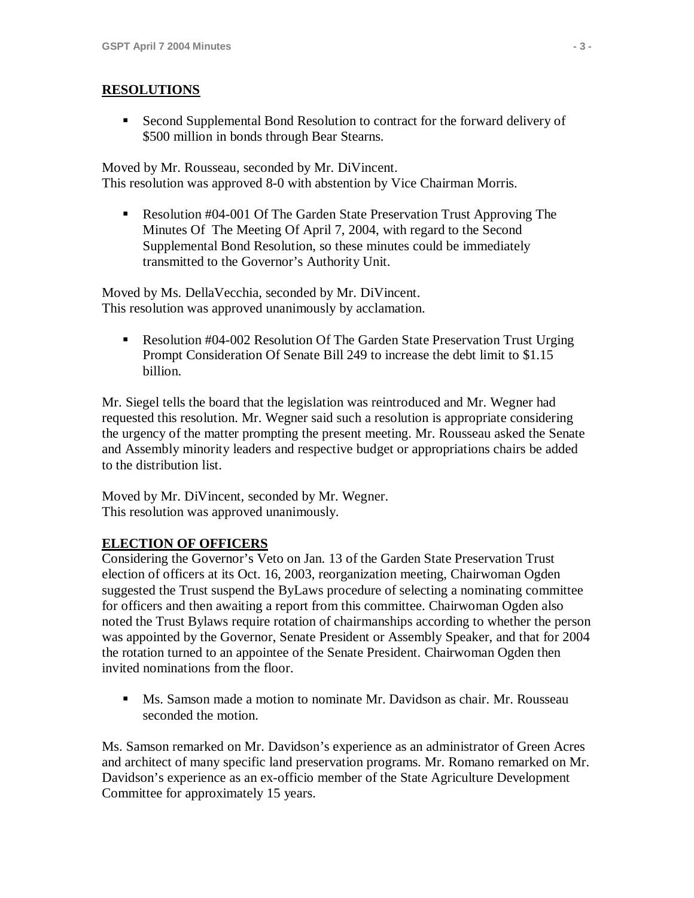#### **RESOLUTIONS**

 Second Supplemental Bond Resolution to contract for the forward delivery of \$500 million in bonds through Bear Stearns.

Moved by Mr. Rousseau, seconded by Mr. DiVincent. This resolution was approved 8-0 with abstention by Vice Chairman Morris.

**Resolution #04-001 Of The Garden State Preservation Trust Approving The** Minutes Of The Meeting Of April 7, 2004, with regard to the Second Supplemental Bond Resolution, so these minutes could be immediately transmitted to the Governor's Authority Unit.

Moved by Ms. DellaVecchia, seconded by Mr. DiVincent. This resolution was approved unanimously by acclamation.

 Resolution #04-002 Resolution Of The Garden State Preservation Trust Urging Prompt Consideration Of Senate Bill 249 to increase the debt limit to \$1.15 billion.

Mr. Siegel tells the board that the legislation was reintroduced and Mr. Wegner had requested this resolution. Mr. Wegner said such a resolution is appropriate considering the urgency of the matter prompting the present meeting. Mr. Rousseau asked the Senate and Assembly minority leaders and respective budget or appropriations chairs be added to the distribution list.

Moved by Mr. DiVincent, seconded by Mr. Wegner. This resolution was approved unanimously.

### **ELECTION OF OFFICERS**

Considering the Governor's Veto on Jan. 13 of the Garden State Preservation Trust election of officers at its Oct. 16, 2003, reorganization meeting, Chairwoman Ogden suggested the Trust suspend the ByLaws procedure of selecting a nominating committee for officers and then awaiting a report from this committee. Chairwoman Ogden also noted the Trust Bylaws require rotation of chairmanships according to whether the person was appointed by the Governor, Senate President or Assembly Speaker, and that for 2004 the rotation turned to an appointee of the Senate President. Chairwoman Ogden then invited nominations from the floor.

 Ms. Samson made a motion to nominate Mr. Davidson as chair. Mr. Rousseau seconded the motion.

Ms. Samson remarked on Mr. Davidson's experience as an administrator of Green Acres and architect of many specific land preservation programs. Mr. Romano remarked on Mr. Davidson's experience as an ex-officio member of the State Agriculture Development Committee for approximately 15 years.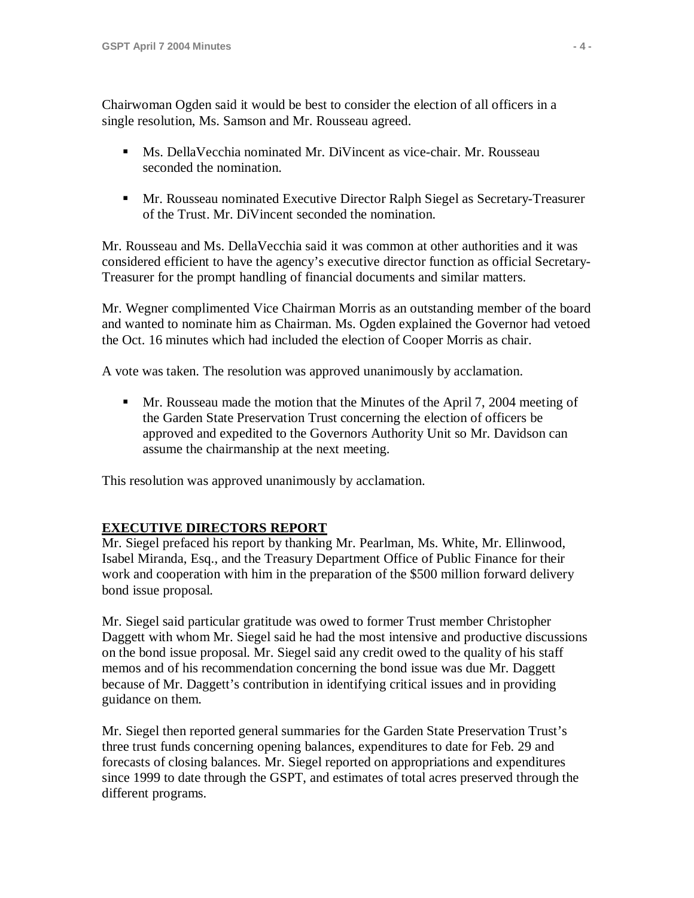Chairwoman Ogden said it would be best to consider the election of all officers in a single resolution, Ms. Samson and Mr. Rousseau agreed.

- Ms. DellaVecchia nominated Mr. DiVincent as vice-chair. Mr. Rousseau seconded the nomination.
- Mr. Rousseau nominated Executive Director Ralph Siegel as Secretary-Treasurer of the Trust. Mr. DiVincent seconded the nomination.

Mr. Rousseau and Ms. DellaVecchia said it was common at other authorities and it was considered efficient to have the agency's executive director function as official Secretary-Treasurer for the prompt handling of financial documents and similar matters.

Mr. Wegner complimented Vice Chairman Morris as an outstanding member of the board and wanted to nominate him as Chairman. Ms. Ogden explained the Governor had vetoed the Oct. 16 minutes which had included the election of Cooper Morris as chair.

A vote was taken. The resolution was approved unanimously by acclamation.

**Mr.** Rousseau made the motion that the Minutes of the April 7, 2004 meeting of the Garden State Preservation Trust concerning the election of officers be approved and expedited to the Governors Authority Unit so Mr. Davidson can assume the chairmanship at the next meeting.

This resolution was approved unanimously by acclamation.

### **EXECUTIVE DIRECTORS REPORT**

Mr. Siegel prefaced his report by thanking Mr. Pearlman, Ms. White, Mr. Ellinwood, Isabel Miranda, Esq., and the Treasury Department Office of Public Finance for their work and cooperation with him in the preparation of the \$500 million forward delivery bond issue proposal.

Mr. Siegel said particular gratitude was owed to former Trust member Christopher Daggett with whom Mr. Siegel said he had the most intensive and productive discussions on the bond issue proposal. Mr. Siegel said any credit owed to the quality of his staff memos and of his recommendation concerning the bond issue was due Mr. Daggett because of Mr. Daggett's contribution in identifying critical issues and in providing guidance on them.

Mr. Siegel then reported general summaries for the Garden State Preservation Trust's three trust funds concerning opening balances, expenditures to date for Feb. 29 and forecasts of closing balances. Mr. Siegel reported on appropriations and expenditures since 1999 to date through the GSPT, and estimates of total acres preserved through the different programs.